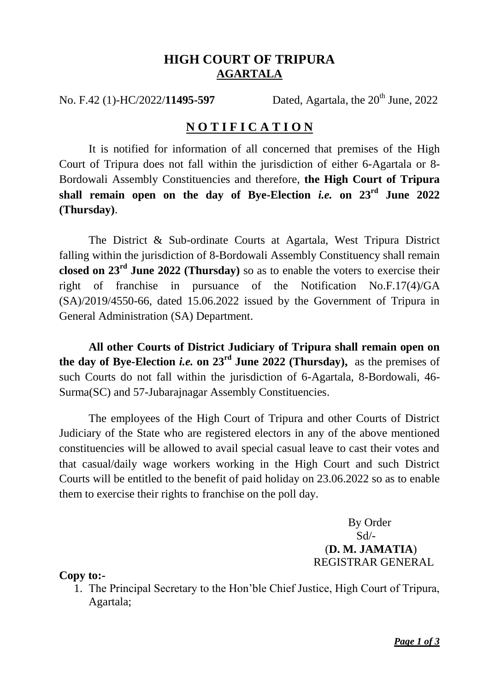## **HIGH COURT OF TRIPURA AGARTALA**

No. F.42 (1)-HC/2022/**11495-597** Dated, Agartala, the 20<sup>th</sup> June, 2022

## **N O T I F I C A T I O N**

It is notified for information of all concerned that premises of the High Court of Tripura does not fall within the jurisdiction of either 6-Agartala or 8- Bordowali Assembly Constituencies and therefore, **the High Court of Tripura shall remain open on the day of Bye-Election** *i.e.* **on 23rd June 2022 (Thursday)**.

The District & Sub-ordinate Courts at Agartala, West Tripura District falling within the jurisdiction of 8-Bordowali Assembly Constituency shall remain **closed on 23rd June 2022 (Thursday)** so as to enable the voters to exercise their right of franchise in pursuance of the Notification No.F.17(4)/GA (SA)/2019/4550-66, dated 15.06.2022 issued by the Government of Tripura in General Administration (SA) Department.

**All other Courts of District Judiciary of Tripura shall remain open on the day of Bye-Election** *i.e.* **on 23rd June 2022 (Thursday),** as the premises of such Courts do not fall within the jurisdiction of 6-Agartala, 8-Bordowali, 46- Surma(SC) and 57-Jubarajnagar Assembly Constituencies.

The employees of the High Court of Tripura and other Courts of District Judiciary of the State who are registered electors in any of the above mentioned constituencies will be allowed to avail special casual leave to cast their votes and that casual/daily wage workers working in the High Court and such District Courts will be entitled to the benefit of paid holiday on 23.06.2022 so as to enable them to exercise their rights to franchise on the poll day.

> By Order  $Sd$ <sup>-</sup> (**D. M. JAMATIA**) REGISTRAR GENERAL

**Copy to:-**

1. The Principal Secretary to the Hon'ble Chief Justice, High Court of Tripura, Agartala;

*Page 1 of 3*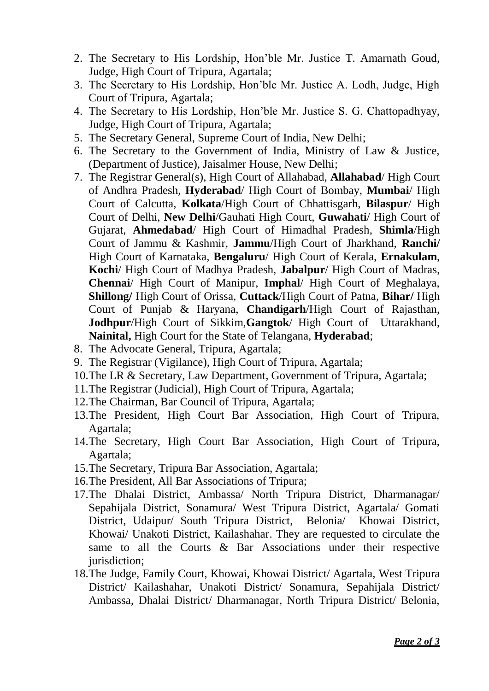- 2. The Secretary to His Lordship, Hon'ble Mr. Justice T. Amarnath Goud, Judge, High Court of Tripura, Agartala;
- 3. The Secretary to His Lordship, Hon'ble Mr. Justice A. Lodh, Judge, High Court of Tripura, Agartala;
- 4. The Secretary to His Lordship, Hon'ble Mr. Justice S. G. Chattopadhyay, Judge, High Court of Tripura, Agartala;
- 5. The Secretary General, Supreme Court of India, New Delhi;
- 6. The Secretary to the Government of India, Ministry of Law & Justice, (Department of Justice), Jaisalmer House, New Delhi;
- 7. The Registrar General(s), High Court of Allahabad, **Allahabad**/ High Court of Andhra Pradesh, **Hyderabad**/ High Court of Bombay, **Mumbai**/ High Court of Calcutta, **Kolkata**/High Court of Chhattisgarh, **Bilaspur**/ High Court of Delhi, **New Delhi**/Gauhati High Court, **Guwahati**/ High Court of Gujarat, **Ahmedabad**/ High Court of Himadhal Pradesh, **Shimla**/High Court of Jammu & Kashmir, **Jammu**/High Court of Jharkhand, **Ranchi/** High Court of Karnataka, **Bengaluru**/ High Court of Kerala, **Ernakulam**, **Kochi**/ High Court of Madhya Pradesh, **Jabalpur**/ High Court of Madras, **Chennai**/ High Court of Manipur, **Imphal**/ High Court of Meghalaya, **Shillong/** High Court of Orissa, **Cuttack**/High Court of Patna, **Bihar/** High Court of Punjab & Haryana, **Chandigarh**/High Court of Rajasthan, **Jodhpur**/High Court of Sikkim,**Gangtok**/ High Court of Uttarakhand, **Nainital,** High Court for the State of Telangana, **Hyderabad**;
- 8. The Advocate General, Tripura, Agartala;
- 9. The Registrar (Vigilance), High Court of Tripura, Agartala;
- 10.The LR & Secretary, Law Department, Government of Tripura, Agartala;
- 11.The Registrar (Judicial), High Court of Tripura, Agartala;
- 12.The Chairman, Bar Council of Tripura, Agartala;
- 13.The President, High Court Bar Association, High Court of Tripura, Agartala;
- 14.The Secretary, High Court Bar Association, High Court of Tripura, Agartala;
- 15.The Secretary, Tripura Bar Association, Agartala;
- 16.The President, All Bar Associations of Tripura;
- 17.The Dhalai District, Ambassa/ North Tripura District, Dharmanagar/ Sepahijala District, Sonamura/ West Tripura District, Agartala/ Gomati District, Udaipur/ South Tripura District, Belonia/ Khowai District, Khowai/ Unakoti District, Kailashahar. They are requested to circulate the same to all the Courts & Bar Associations under their respective jurisdiction;
- 18.The Judge, Family Court, Khowai, Khowai District/ Agartala, West Tripura District/ Kailashahar, Unakoti District/ Sonamura, Sepahijala District/ Ambassa, Dhalai District/ Dharmanagar, North Tripura District/ Belonia,